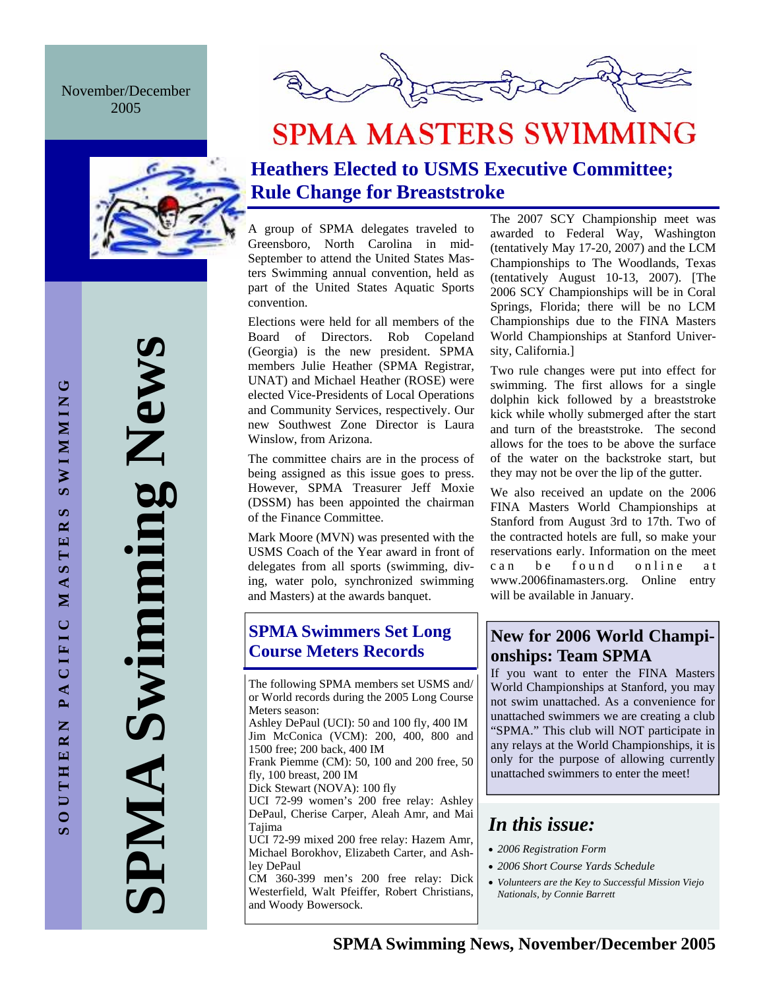November/December 2005



# **SPMA MASTERS SWIMMING**

## **Heathers Elected to USMS Executive Committee; Rule Change for Breaststroke**

A group of SPMA delegates traveled to Greensboro, North Carolina in mid-September to attend the United States Masters Swimming annual convention, held as part of the United States Aquatic Sports convention.

Elections were held for all members of the Board of Directors. Rob Copeland (Georgia) is the new president. SPMA members Julie Heather (SPMA Registrar, UNAT) and Michael Heather (ROSE) were elected Vice-Presidents of Local Operations and Community Services, respectively. Our new Southwest Zone Director is Laura Winslow, from Arizona.

The committee chairs are in the process of being assigned as this issue goes to press. However, SPMA Treasurer Jeff Moxie (DSSM) has been appointed the chairman of the Finance Committee.

Mark Moore (MVN) was presented with the USMS Coach of the Year award in front of delegates from all sports (swimming, diving, water polo, synchronized swimming and Masters) at the awards banquet.

# **SPMA Swimmers Set Long**

The following SPMA members set USMS and/ or World records during the 2005 Long Course Meters season:

Ashley DePaul (UCI): 50 and 100 fly, 400 IM Jim McConica (VCM): 200, 400, 800 and 1500 free; 200 back, 400 IM

Frank Piemme (CM): 50, 100 and 200 free, 50 fly, 100 breast, 200 IM

Dick Stewart (NOVA): 100 fly

UCI 72-99 women's 200 free relay: Ashley DePaul, Cherise Carper, Aleah Amr, and Mai Tajima

UCI 72-99 mixed 200 free relay: Hazem Amr, Michael Borokhov, Elizabeth Carter, and Ashley DePaul

CM 360-399 men's 200 free relay: Dick Westerfield, Walt Pfeiffer, Robert Christians, and Woody Bowersock.

The 2007 SCY Championship meet was awarded to Federal Way, Washington (tentatively May 17-20, 2007) and the LCM Championships to The Woodlands, Texas (tentatively August 10-13, 2007). [The 2006 SCY Championships will be in Coral Springs, Florida; there will be no LCM Championships due to the FINA Masters World Championships at Stanford University, California.]

Two rule changes were put into effect for swimming. The first allows for a single dolphin kick followed by a breaststroke kick while wholly submerged after the start and turn of the breaststroke. The second allows for the toes to be above the surface of the water on the backstroke start, but they may not be over the lip of the gutter.

We also received an update on the 2006 FINA Masters World Championships at Stanford from August 3rd to 17th. Two of the contracted hotels are full, so make your reservations early. Information on the meet can be found online at www.2006finamasters.org. Online entry will be available in January.

## **SPMA Swimmers Set Long<br>
Course Meters Records and Long Longbins: Team SPMA onships: Team SPMA**

If you want to enter the FINA Masters World Championships at Stanford, you may not swim unattached. As a convenience for unattached swimmers we are creating a club "SPMA." This club will NOT participate in any relays at the World Championships, it is only for the purpose of allowing currently unattached swimmers to enter the meet!

## *In this issue:*

- *2006 Registration Form*
- *2006 Short Course Yards Schedule*
- *Volunteers are the Key to Successful Mission Viejo Nationals, by Connie Barrett*

**SPMA Swimming News** 

AMPI

Swimming New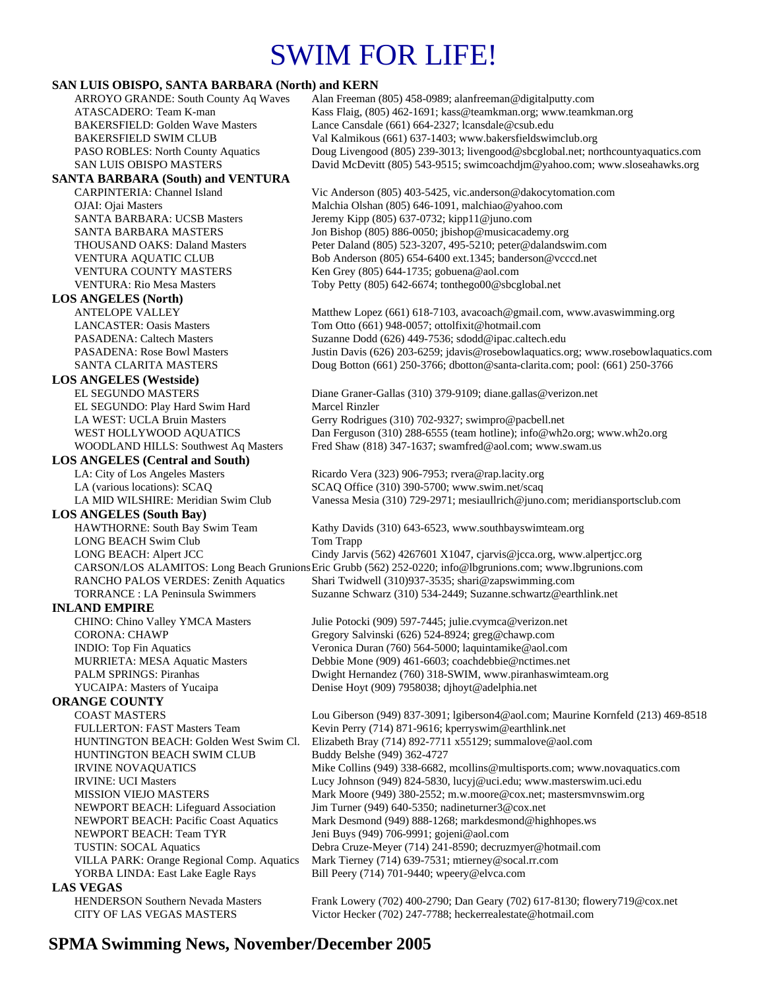# SWIM FOR LIFE!

## **SAN LUIS OBISPO, SANTA BARBARA (North) and KERN**<br>ARROYO GRANDE: South County Aq Waves Alan Freeman

Alan Freeman (805) 458-0989; alan freeman @digitalputty.com ATASCADERO: Team K-man Kass Flaig, (805) 462-1691; kass@teamkman.org; www.teamkman.org BAKERSFIELD: Golden Wave Masters Lance Cansdale (661) 664-2327; lcansdale@csub.edu BAKERSFIELD SWIM CLUB Val Kalmikous (661) 637-1403; www.bakersfieldswimclub.org PASO ROBLES: North County Aquatics Doug Livengood (805) 239-3013; livengood@sbcglobal.net; northcountyaquatics.com SAN LUIS OBISPO MASTERS David McDevitt (805) 543-9515; swimcoachdjm@yahoo.com; www.sloseahawks.org **SANTA BARBARA (South) and VENTURA**  CARPINTERIA: Channel Island Vic Anderson (805) 403-5425, vic.anderson@dakocytomation.com OJAI: Ojai Masters Malchia Olshan (805) 646-1091, malchiao@yahoo.com SANTA BARBARA: UCSB Masters Jeremy Kipp (805) 637-0732; kipp11@juno.com SANTA BARBARA MASTERS Jon Bishop (805) 886-0050; jbishop@musicacademy.org THOUSAND OAKS: Daland Masters Peter Daland (805) 523-3207, 495-5210; peter@dalandswim.com VENTURA AQUATIC CLUB Bob Anderson (805) 654-6400 ext.1345; banderson@vcccd.net VENTURA COUNTY MASTERS Ken Grey (805) 644-1735; gobuena@aol.com VENTURA: Rio Mesa Masters Toby Petty (805) 642-6674; tonthego00@sbcglobal.net **LOS ANGELES (North)**  ANTELOPE VALLEY Matthew Lopez (661) 618-7103, avacoach@gmail.com, www.avaswimming.org LANCASTER: Oasis Masters Tom Otto (661) 948-0057; ottolfixit@hotmail.com PASADENA: Caltech Masters Suzanne Dodd (626) 449-7536; sdodd@ipac.caltech.edu PASADENA: Rose Bowl Masters Justin Davis (626) 203-6259; jdavis@rosebowlaquatics.org; www.rosebowlaquatics.com SANTA CLARITA MASTERS Doug Botton (661) 250-3766; dbotton@santa-clarita.com; pool: (661) 250-3766 **LOS ANGELES (Westside)** EL SEGUNDO MASTERS Diane Graner-Gallas (310) 379-9109; diane.gallas@verizon.net EL SEGUNDO: Play Hard Swim Hard Marcel Rinzler LA WEST: UCLA Bruin Masters Gerry Rodrigues (310) 702-9327; swimpro@pacbell.net WEST HOLLYWOOD AQUATICS Dan Ferguson (310) 288-6555 (team hotline); info@wh2o.org; www.wh2o.org WOODLAND HILLS: Southwest Aq Masters Fred Shaw (818) 347-1637; swamfred@aol.com; www.swam.us **LOS ANGELES (Central and South)**  LA: City of Los Angeles Masters Ricardo Vera (323) 906-7953; rvera@rap.lacity.org LA (various locations): SCAQ SCAQ Office (310) 390-5700; www.swim.net/scaq LA MID WILSHIRE: Meridian Swim Club Vanessa Mesia (310) 729-2971; mesiaullrich@juno.com; meridiansportsclub.com **LOS ANGELES (South Bay)**  HAWTHORNE: South Bay Swim Team Kathy Davids (310) 643-6523, www.southbayswimteam.org LONG BEACH Swim Club Tom Trapp LONG BEACH: Alpert JCC Cindy Jarvis (562) 4267601 X1047, cjarvis@jcca.org, www.alpertjcc.org CARSON/LOS ALAMITOS: Long Beach Grunions Eric Grubb (562) 252-0220; info@lbgrunions.com; www.lbgrunions.com RANCHO PALOS VERDES: Zenith Aquatics Shari Twidwell (310)937-3535; shari@zapswimming.com TORRANCE : LA Peninsula Swimmers Suzanne Schwarz (310) 534-2449; Suzanne.schwartz@earthlink.net **INLAND EMPIRE**  CHINO: Chino Valley YMCA Masters Julie Potocki (909) 597-7445; julie.cvymca@verizon.net CORONA: CHAWP Gregory Salvinski (626) 524-8924; greg@chawp.com INDIO: Top Fin Aquatics Veronica Duran (760) 564-5000; laquintamike@aol.com MURRIETA: MESA Aquatic Masters Debbie Mone (909) 461-6603; coachdebbie@nctimes.net PALM SPRINGS: Piranhas Dwight Hernandez (760) 318-SWIM, www.piranhaswimteam.org YUCAIPA: Masters of Yucaipa Denise Hoyt (909) 7958038; djhoyt@adelphia.net **ORANGE COUNTY**  COAST MASTERS Lou Giberson (949) 837-3091; lgiberson4@aol.com; Maurine Kornfeld (213) 469-8518 FULLERTON: FAST Masters Team Kevin Perry (714) 871-9616; kperryswim@earthlink.net HUNTINGTON BEACH: Golden West Swim Cl. Elizabeth Bray (714) 892-7711 x55129; summalove@aol.com HUNTINGTON BEACH SWIM CLUB Buddy Belshe (949) 362-4727 IRVINE NOVAQUATICS Mike Collins (949) 338-6682, mcollins@multisports.com; www.novaquatics.com IRVINE: UCI Masters Lucy Johnson (949) 824-5830, lucyj@uci.edu; www.masterswim.uci.edu MISSION VIEJO MASTERS Mark Moore (949) 380-2552; m.w.moore @cox.net; mastersmvnswim.org NEWPORT BEACH: Lifeguard Association Jim Turner (949) 640-5350; nadineturner3@cox.net NEWPORT BEACH: Pacific Coast Aquatics Mark Desmond (949) 888-1268; markdesmond@highhopes.ws NEWPORT BEACH: Team TYR Jeni Buys (949) 706-9991; gojeni@aol.com TUSTIN: SOCAL Aquatics Debra Cruze-Meyer (714) 241-8590; decruzmyer@hotmail.com VILLA PARK: Orange Regional Comp. Aquatics Mark Tierney (714) 639-7531; mtierney@socal.rr.com YORBA LINDA: East Lake Eagle Rays Bill Peery (714) 701-9440; wpeery@elvca.com **LAS VEGAS**<br> **HENDERSON Southern Nevada Masters** Frank Lowery (702) 400-2790; Dan Geary (702) 617-8130; flowery 719@cox.net

## CITY OF LAS VEGAS MASTERS Victor Hecker (702) 247-7788; heckerrealestate@hotmail.com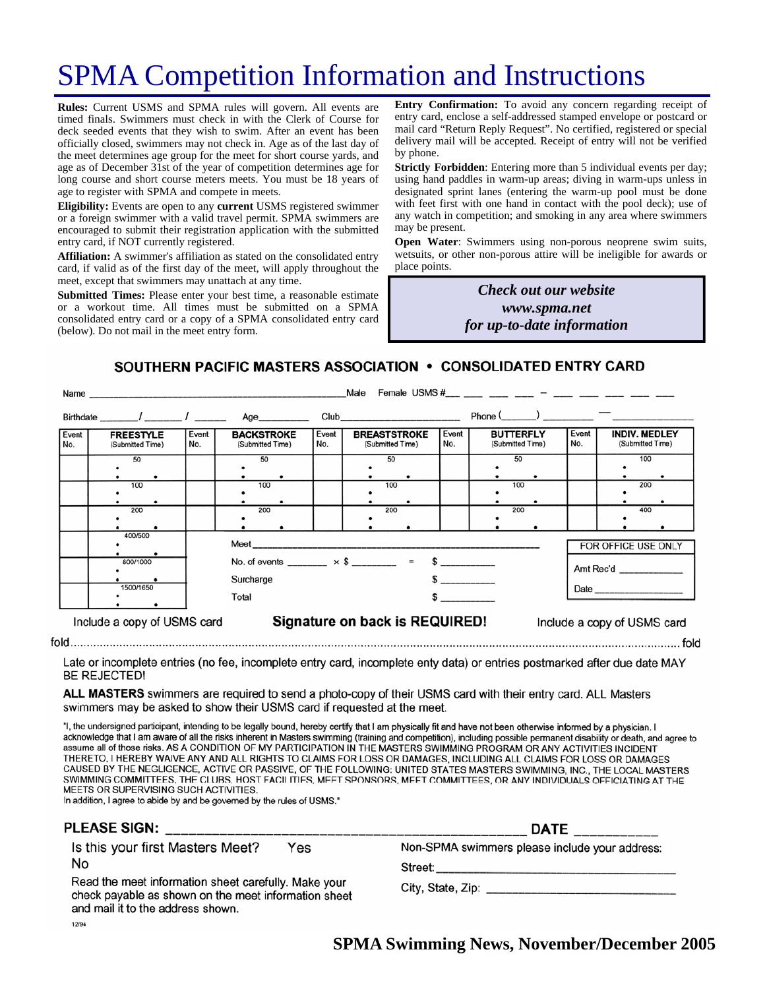# SPMA Competition Information and Instructions

**Rules:** Current USMS and SPMA rules will govern. All events are timed finals. Swimmers must check in with the Clerk of Course for deck seeded events that they wish to swim. After an event has been officially closed, swimmers may not check in. Age as of the last day of the meet determines age group for the meet for short course yards, and age as of December 31st of the year of competition determines age for long course and short course meters meets. You must be 18 years of age to register with SPMA and compete in meets.

**Eligibility:** Events are open to any **current** USMS registered swimmer or a foreign swimmer with a valid travel permit. SPMA swimmers are encouraged to submit their registration application with the submitted entry card, if NOT currently registered.

**Affiliation:** A swimmer's affiliation as stated on the consolidated entry card, if valid as of the first day of the meet, will apply throughout the meet, except that swimmers may unattach at any time.

**Submitted Times:** Please enter your best time, a reasonable estimate or a workout time. All times must be submitted on a SPMA consolidated entry card or a copy of a SPMA consolidated entry card (below). Do not mail in the meet entry form.

**Entry Confirmation:** To avoid any concern regarding receipt of entry card, enclose a self-addressed stamped envelope or postcard or mail card "Return Reply Request". No certified, registered or special delivery mail will be accepted. Receipt of entry will not be verified by phone.

**Strictly Forbidden**: Entering more than 5 individual events per day; using hand paddles in warm-up areas; diving in warm-ups unless in designated sprint lanes (entering the warm-up pool must be done with feet first with one hand in contact with the pool deck); use of any watch in competition; and smoking in any area where swimmers may be present.

**Open Water**: Swimmers using non-porous neoprene swim suits, wetsuits, or other non-porous attire will be ineligible for awards or place points.

> *Check out our website www.spma.net for up-to-date information*

SOUTHERN PACIFIC MASTERS ASSOCIATION • CONSOLIDATED ENTRY CARD

|              | Male<br>Name                         |                                                                         |                                                                                                                                                                                                                                |              |                                                                                                                                                                                                                                |              |                                      |                             |                                          |
|--------------|--------------------------------------|-------------------------------------------------------------------------|--------------------------------------------------------------------------------------------------------------------------------------------------------------------------------------------------------------------------------|--------------|--------------------------------------------------------------------------------------------------------------------------------------------------------------------------------------------------------------------------------|--------------|--------------------------------------|-----------------------------|------------------------------------------|
|              |                                      |                                                                         | Age                                                                                                                                                                                                                            |              | Club and the contract of the contract of the contract of the contract of the contract of the contract of the contract of the contract of the contract of the contract of the contract of the contract of the contract of the c |              | $Phone($ $)$ $-$                     |                             |                                          |
| Event<br>No. | <b>FREESTYLE</b><br>(Submitted Time) | Event<br>No.                                                            | <b>BACKSTROKE</b><br>(Submitted Time)                                                                                                                                                                                          | Event<br>No. | <b>BREASTSTROKE</b><br>(Submitted Time)                                                                                                                                                                                        | Event<br>No. | <b>BUTTERFLY</b><br>(Submitted Time) | Event<br>No.                | <b>INDIV. MEDLEY</b><br>(Submitted Time) |
|              | 50                                   |                                                                         | 50                                                                                                                                                                                                                             |              | 50                                                                                                                                                                                                                             |              | 50                                   |                             | 100                                      |
|              | 100                                  |                                                                         | 100                                                                                                                                                                                                                            |              | 100                                                                                                                                                                                                                            |              | 100                                  |                             | 200                                      |
|              | 200                                  |                                                                         | 200                                                                                                                                                                                                                            |              | 200                                                                                                                                                                                                                            |              | 200                                  |                             | 400                                      |
|              | 400/500                              |                                                                         | Meet and the contract of the contract of the contract of the contract of the contract of the contract of the contract of the contract of the contract of the contract of the contract of the contract of the contract of the c |              |                                                                                                                                                                                                                                |              |                                      | FOR OFFICE USE ONLY         |                                          |
|              | 800/1000                             | No. of events ________ $\times$ \$ ________ = \$ _________<br>Surcharge |                                                                                                                                                                                                                                |              |                                                                                                                                                                                                                                |              | Amt Rec'd ______________             |                             |                                          |
|              | 1500/1650                            | Total                                                                   | $\sim$ 5 and 5 and 5 and 5 and 6 and 6 and 6 and 6 and 6 and 6 and 6 and 6 and 6 and 6 and 6 and 6 and 6 and 6 and 6 and 6 and 6 and 6 and 6 and 6 and 6 and 6 and 6 and 6 and 6 and 6 and 6 and 6 and 6 and 6 and 6 and 6 and |              |                                                                                                                                                                                                                                |              |                                      |                             |                                          |
|              | Include a copy of USMS card          | Signature on back is REQUIRED!                                          |                                                                                                                                                                                                                                |              |                                                                                                                                                                                                                                |              |                                      | Include a copy of USMS card |                                          |
|              |                                      |                                                                         |                                                                                                                                                                                                                                |              |                                                                                                                                                                                                                                |              |                                      |                             |                                          |

Late or incomplete entries (no fee, incomplete entry card, incomplete enty data) or entries postmarked after due date MAY **BE REJECTED!** 

ALL MASTERS swimmers are required to send a photo-copy of their USMS card with their entry card. ALL Masters swimmers may be asked to show their USMS card if requested at the meet.

"I, the undersigned participant, intending to be legally bound, hereby certify that I am physically fit and have not been otherwise informed by a physician. I acknowledge that I am aware of all the risks inherent in Masters swimming (training and competition), including possible permanent disability or death, and agree to assume all of those risks. AS A CONDITION OF MY PARTICIPATION IN THE MASTERS SWIMMING PROGRAM OR ANY ACTIVITIES INCIDENT THERETO, I HEREBY WAIVE ANY AND ALL RIGHTS TO CLAIMS FOR LOSS OR DAMAGES, INCLUDING ALL CLAIMS FOR LOSS OR DAMAGES CAUSED BY THE NEGLIGENCE, ACTIVE OR PASSIVE, OF THE FOLLOWING: UNITED STATES MASTERS SWIMMING, INC., THE LOCAL MASTERS SWIMMING COMMITTEES, THE CLUBS, HOST FACILITIES, MEET SPONSORS, MEET COMMITTEES, OR ANY INDIVIDUALS OFFICIATING AT THE MEETS OR SUPERVISING SUCH ACTIVITIES.

In addition, I agree to abide by and be governed by the rules of USMS."

| <b>PLEASE SIGN:</b>                                                                                                                               | <b>DATE</b>                                    |  |  |
|---------------------------------------------------------------------------------------------------------------------------------------------------|------------------------------------------------|--|--|
| Is this your first Masters Meet?<br>Yes                                                                                                           | Non-SPMA swimmers please include your address: |  |  |
| No                                                                                                                                                | Street:                                        |  |  |
| Read the meet information sheet carefully. Make your<br>check payable as shown on the meet information sheet<br>and mail it to the address shown. |                                                |  |  |
| 12/94                                                                                                                                             |                                                |  |  |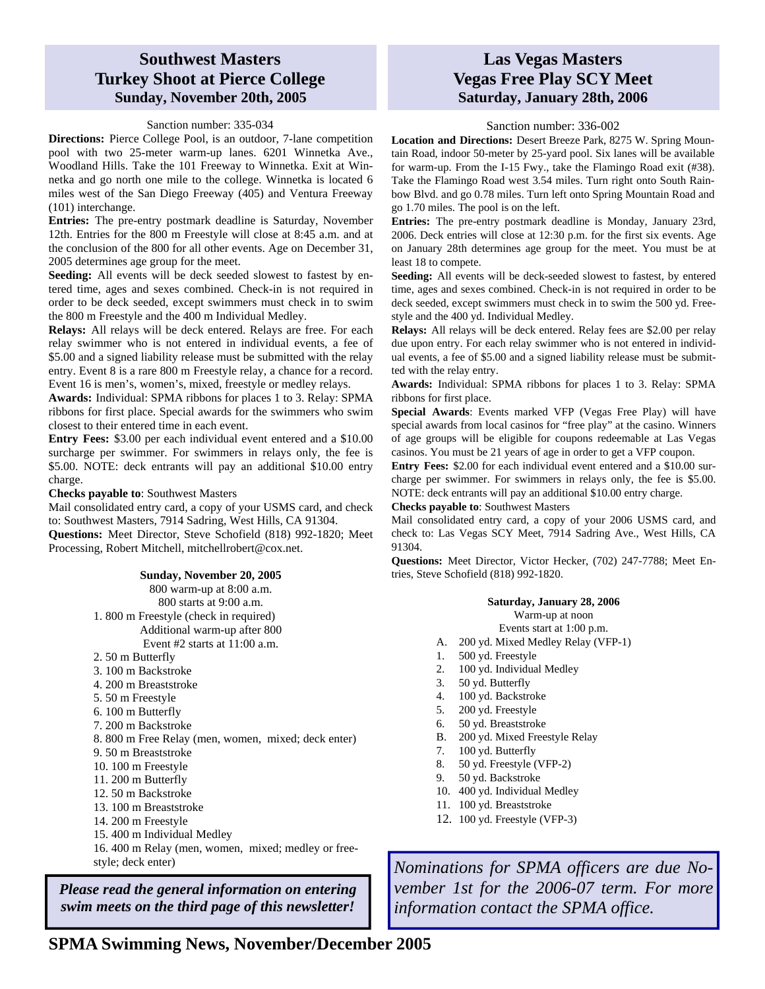### **Southwest Masters Turkey Shoot at Pierce College Sunday, November 20th, 2005**

#### Sanction number: 335-034

**Directions:** Pierce College Pool, is an outdoor, 7-lane competition pool with two 25-meter warm-up lanes. 6201 Winnetka Ave., Woodland Hills. Take the 101 Freeway to Winnetka. Exit at Winnetka and go north one mile to the college. Winnetka is located 6 miles west of the San Diego Freeway (405) and Ventura Freeway (101) interchange.

**Entries:** The pre-entry postmark deadline is Saturday, November 12th. Entries for the 800 m Freestyle will close at 8:45 a.m. and at the conclusion of the 800 for all other events. Age on December 31, 2005 determines age group for the meet.

**Seeding:** All events will be deck seeded slowest to fastest by entered time, ages and sexes combined. Check-in is not required in order to be deck seeded, except swimmers must check in to swim the 800 m Freestyle and the 400 m Individual Medley.

**Relays:** All relays will be deck entered. Relays are free. For each relay swimmer who is not entered in individual events, a fee of \$5.00 and a signed liability release must be submitted with the relay entry. Event 8 is a rare 800 m Freestyle relay, a chance for a record. Event 16 is men's, women's, mixed, freestyle or medley relays.

**Awards:** Individual: SPMA ribbons for places 1 to 3. Relay: SPMA ribbons for first place. Special awards for the swimmers who swim closest to their entered time in each event.

**Entry Fees:** \$3.00 per each individual event entered and a \$10.00 surcharge per swimmer. For swimmers in relays only, the fee is \$5.00. NOTE: deck entrants will pay an additional \$10.00 entry charge.

#### **Checks payable to**: Southwest Masters

Mail consolidated entry card, a copy of your USMS card, and check to: Southwest Masters, 7914 Sadring, West Hills, CA 91304.

**Questions:** Meet Director, Steve Schofield (818) 992-1820; Meet Processing, Robert Mitchell, mitchellrobert@cox.net.

#### **Sunday, November 20, 2005**

800 warm-up at 8:00 a.m. 800 starts at 9:00 a.m. 1. 800 m Freestyle (check in required) Additional warm-up after 800

Event #2 starts at  $11:00$  a.m.

- 2. 50 m Butterfly
- 3. 100 m Backstroke
- 4. 200 m Breaststroke
- 5. 50 m Freestyle
- 6. 100 m Butterfly
- 7. 200 m Backstroke
- 8. 800 m Free Relay (men, women, mixed; deck enter)
- 9. 50 m Breaststroke
- 10. 100 m Freestyle
- 11. 200 m Butterfly
- 12. 50 m Backstroke
- 13. 100 m Breaststroke
- 14. 200 m Freestyle
- 15. 400 m Individual Medley

16. 400 m Relay (men, women, mixed; medley or freestyle; deck enter)

*Please read the general information on entering swim meets on the third page of this newsletter!* 

### **Las Vegas Masters Vegas Free Play SCY Meet Saturday, January 28th, 2006**

#### Sanction number: 336-002

**Location and Directions:** Desert Breeze Park, 8275 W. Spring Mountain Road, indoor 50-meter by 25-yard pool. Six lanes will be available for warm-up. From the I-15 Fwy., take the Flamingo Road exit (#38). Take the Flamingo Road west 3.54 miles. Turn right onto South Rainbow Blvd. and go 0.78 miles. Turn left onto Spring Mountain Road and go 1.70 miles. The pool is on the left.

**Entries:** The pre-entry postmark deadline is Monday, January 23rd, 2006. Deck entries will close at 12:30 p.m. for the first six events. Age on January 28th determines age group for the meet. You must be at least 18 to compete.

**Seeding:** All events will be deck-seeded slowest to fastest, by entered time, ages and sexes combined. Check-in is not required in order to be deck seeded, except swimmers must check in to swim the 500 yd. Freestyle and the 400 yd. Individual Medley.

**Relays:** All relays will be deck entered. Relay fees are \$2.00 per relay due upon entry. For each relay swimmer who is not entered in individual events, a fee of \$5.00 and a signed liability release must be submitted with the relay entry.

**Awards:** Individual: SPMA ribbons for places 1 to 3. Relay: SPMA ribbons for first place.

**Special Awards**: Events marked VFP (Vegas Free Play) will have special awards from local casinos for "free play" at the casino. Winners of age groups will be eligible for coupons redeemable at Las Vegas casinos. You must be 21 years of age in order to get a VFP coupon.

**Entry Fees:** \$2.00 for each individual event entered and a \$10.00 surcharge per swimmer. For swimmers in relays only, the fee is \$5.00. NOTE: deck entrants will pay an additional \$10.00 entry charge.

**Checks payable to**: Southwest Masters

Mail consolidated entry card, a copy of your 2006 USMS card, and check to: Las Vegas SCY Meet, 7914 Sadring Ave., West Hills, CA 91304.

**Questions:** Meet Director, Victor Hecker, (702) 247-7788; Meet Entries, Steve Schofield (818) 992-1820.

#### **Saturday, January 28, 2006**

Warm-up at noon

- Events start at 1:00 p.m.
- A. 200 yd. Mixed Medley Relay (VFP-1)
- 1. 500 yd. Freestyle
- 2. 100 yd. Individual Medley
- 3. 50 yd. Butterfly
- 4. 100 yd. Backstroke
- 5. 200 yd. Freestyle
- 6. 50 yd. Breaststroke
- B. 200 yd. Mixed Freestyle Relay
- 7. 100 yd. Butterfly
- 8. 50 yd. Freestyle (VFP-2)
- 9. 50 yd. Backstroke
- 10. 400 yd. Individual Medley
- 11. 100 yd. Breaststroke
- 12. 100 yd. Freestyle (VFP-3)

*Nominations for SPMA officers are due November 1st for the 2006-07 term. For more information contact the SPMA office.*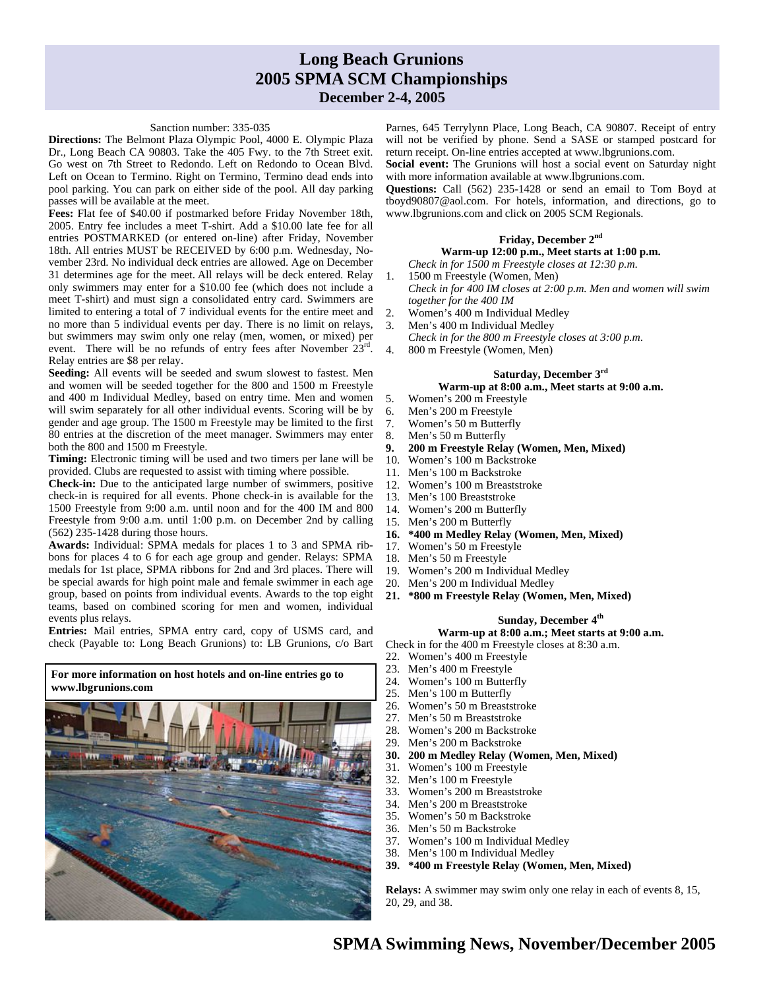### **Long Beach Grunions 2005 SPMA SCM Championships December 2-4, 2005**

#### Sanction number: 335-035

**Directions:** The Belmont Plaza Olympic Pool, 4000 E. Olympic Plaza Dr., Long Beach CA 90803. Take the 405 Fwy. to the 7th Street exit. Go west on 7th Street to Redondo. Left on Redondo to Ocean Blvd. Left on Ocean to Termino. Right on Termino, Termino dead ends into pool parking. You can park on either side of the pool. All day parking passes will be available at the meet.

**Fees:** Flat fee of \$40.00 if postmarked before Friday November 18th, 2005. Entry fee includes a meet T-shirt. Add a \$10.00 late fee for all entries POSTMARKED (or entered on-line) after Friday, November 18th. All entries MUST be RECEIVED by 6:00 p.m. Wednesday, November 23rd. No individual deck entries are allowed. Age on December 31 determines age for the meet. All relays will be deck entered. Relay only swimmers may enter for a \$10.00 fee (which does not include a meet T-shirt) and must sign a consolidated entry card. Swimmers are limited to entering a total of 7 individual events for the entire meet and no more than 5 individual events per day. There is no limit on relays, but swimmers may swim only one relay (men, women, or mixed) per event. There will be no refunds of entry fees after November 23rd. Relay entries are \$8 per relay.

**Seeding:** All events will be seeded and swum slowest to fastest. Men and women will be seeded together for the 800 and 1500 m Freestyle and 400 m Individual Medley, based on entry time. Men and women will swim separately for all other individual events. Scoring will be by gender and age group. The 1500 m Freestyle may be limited to the first 80 entries at the discretion of the meet manager. Swimmers may enter both the 800 and 1500 m Freestyle.

**Timing:** Electronic timing will be used and two timers per lane will be provided. Clubs are requested to assist with timing where possible.

**Check-in:** Due to the anticipated large number of swimmers, positive check-in is required for all events. Phone check-in is available for the 1500 Freestyle from 9:00 a.m. until noon and for the 400 IM and 800 Freestyle from 9:00 a.m. until 1:00 p.m. on December 2nd by calling (562) 235-1428 during those hours.

**Awards:** Individual: SPMA medals for places 1 to 3 and SPMA ribbons for places 4 to 6 for each age group and gender. Relays: SPMA medals for 1st place, SPMA ribbons for 2nd and 3rd places. There will be special awards for high point male and female swimmer in each age group, based on points from individual events. Awards to the top eight teams, based on combined scoring for men and women, individual events plus relays.

**Entries:** Mail entries, SPMA entry card, copy of USMS card, and check (Payable to: Long Beach Grunions) to: LB Grunions, c/o Bart

**For more information on host hotels and on-line entries go to www.lbgrunions.com** 



Parnes, 645 Terrylynn Place, Long Beach, CA 90807. Receipt of entry will not be verified by phone. Send a SASE or stamped postcard for return receipt. On-line entries accepted at www.lbgrunions.com.

**Social event:** The Grunions will host a social event on Saturday night with more information available at www.lbgrunions.com.

**Questions:** Call (562) 235-1428 or send an email to Tom Boyd at tboyd90807@aol.com. For hotels, information, and directions, go to www.lbgrunions.com and click on 2005 SCM Regionals.

#### **Friday, December 2nd**

#### **Warm-up 12:00 p.m., Meet starts at 1:00 p.m.**

*Check in for 1500 m Freestyle closes at 12:30 p.m*.

- 1. 1500 m Freestyle (Women, Men)
- *Check in for 400 IM closes at 2:00 p.m. Men and women will swim together for the 400 IM*
- 2. Women's 400 m Individual Medley
- 3. Men's 400 m Individual Medley
- *Check in for the 800 m Freestyle closes at 3:00 p.m*.
- 4. 800 m Freestyle (Women, Men)

#### **Saturday, December 3rd**

#### **Warm-up at 8:00 a.m., Meet starts at 9:00 a.m.**

- 5. Women's 200 m Freestyle
- 6. Men's 200 m Freestyle
- 7. Women's 50 m Butterfly
- 8. Men's 50 m Butterfly
- **9. 200 m Freestyle Relay (Women, Men, Mixed)**
- 10. Women's 100 m Backstroke
- 11. Men's 100 m Backstroke
- 12. Women's 100 m Breaststroke
- 13. Men's 100 Breaststroke
- 14. Women's 200 m Butterfly
- 15. Men's 200 m Butterfly
- **16. \*400 m Medley Relay (Women, Men, Mixed)**
- 17. Women's 50 m Freestyle
- 18. Men's 50 m Freestyle
- 19. Women's 200 m Individual Medley
- 20. Men's 200 m Individual Medley
- **21. \*800 m Freestyle Relay (Women, Men, Mixed)**

#### **Sunday, December 4th**

**Warm-up at 8:00 a.m.; Meet starts at 9:00 a.m.** 

Check in for the 400 m Freestyle closes at 8:30 a.m.

- 22. Women's 400 m Freestyle
- 23. Men's 400 m Freestyle
- 24. Women's 100 m Butterfly
- 25. Men's 100 m Butterfly<br>26. Women's 50 m Breasts
- Women's 50 m Breaststroke
- 27. Men's 50 m Breaststroke
- 28. Women's 200 m Backstroke
- 29. Men's 200 m Backstroke
- **30. 200 m Medley Relay (Women, Men, Mixed)**
- 31. Women's 100 m Freestyle
- 32. Men's 100 m Freestyle
- 33. Women's 200 m Breaststroke
- 34. Men's 200 m Breaststroke
- 35. Women's 50 m Backstroke
- 36. Men's 50 m Backstroke
- 37. Women's 100 m Individual Medley
- 38. Men's 100 m Individual Medley
- **39. \*400 m Freestyle Relay (Women, Men, Mixed)**

**Relays:** A swimmer may swim only one relay in each of events 8, 15, 20, 29, and 38.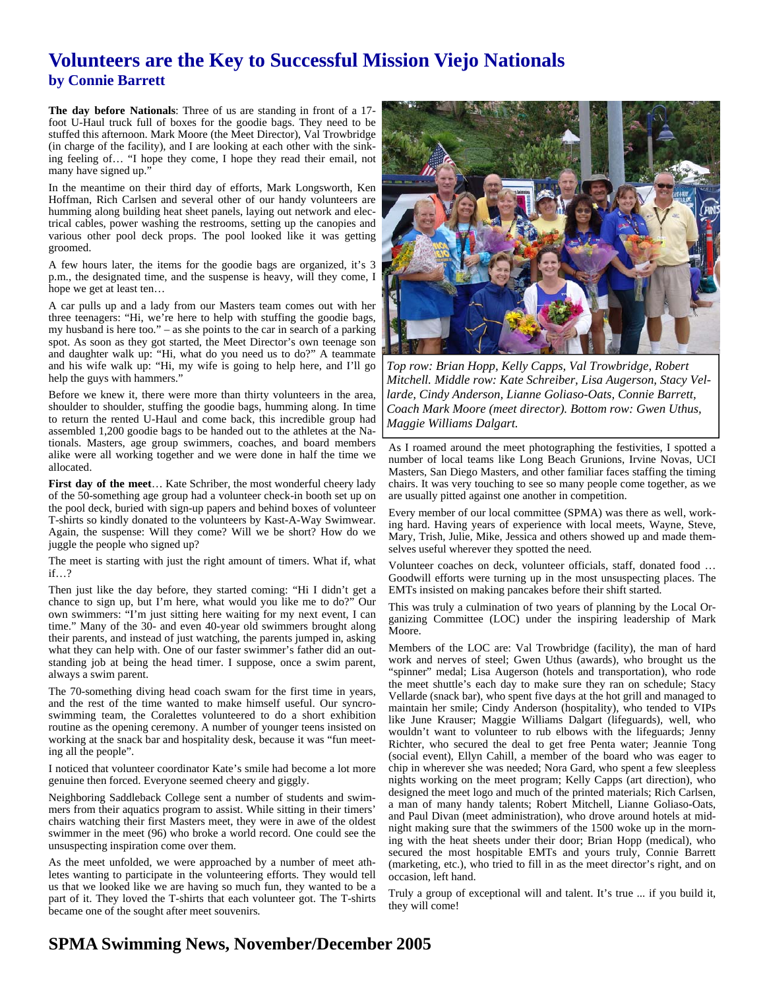## **Volunteers are the Key to Successful Mission Viejo Nationals by Connie Barrett**

**The day before Nationals**: Three of us are standing in front of a 17 foot U-Haul truck full of boxes for the goodie bags. They need to be stuffed this afternoon. Mark Moore (the Meet Director), Val Trowbridge (in charge of the facility), and I are looking at each other with the sinking feeling of… "I hope they come, I hope they read their email, not many have signed up."

In the meantime on their third day of efforts, Mark Longsworth, Ken Hoffman, Rich Carlsen and several other of our handy volunteers are humming along building heat sheet panels, laying out network and electrical cables, power washing the restrooms, setting up the canopies and various other pool deck props. The pool looked like it was getting groomed.

A few hours later, the items for the goodie bags are organized, it's 3 p.m., the designated time, and the suspense is heavy, will they come, I hope we get at least ten…

A car pulls up and a lady from our Masters team comes out with her three teenagers: "Hi, we're here to help with stuffing the goodie bags, my husband is here too." – as she points to the car in search of a parking spot. As soon as they got started, the Meet Director's own teenage son and daughter walk up: "Hi, what do you need us to do?" A teammate and his wife walk up: "Hi, my wife is going to help here, and I'll go help the guys with hammers."

Before we knew it, there were more than thirty volunteers in the area, shoulder to shoulder, stuffing the goodie bags, humming along. In time to return the rented U-Haul and come back, this incredible group had assembled 1,200 goodie bags to be handed out to the athletes at the Nationals. Masters, age group swimmers, coaches, and board members alike were all working together and we were done in half the time we allocated.

First day of the meet... Kate Schriber, the most wonderful cheery lady of the 50-something age group had a volunteer check-in booth set up on the pool deck, buried with sign-up papers and behind boxes of volunteer T-shirts so kindly donated to the volunteers by Kast-A-Way Swimwear. Again, the suspense: Will they come? Will we be short? How do we juggle the people who signed up?

The meet is starting with just the right amount of timers. What if, what if…?

Then just like the day before, they started coming: "Hi I didn't get a chance to sign up, but I'm here, what would you like me to do?" Our own swimmers: "I'm just sitting here waiting for my next event, I can time." Many of the 30- and even 40-year old swimmers brought along their parents, and instead of just watching, the parents jumped in, asking what they can help with. One of our faster swimmer's father did an outstanding job at being the head timer. I suppose, once a swim parent, always a swim parent.

The 70-something diving head coach swam for the first time in years, and the rest of the time wanted to make himself useful. Our syncroswimming team, the Coralettes volunteered to do a short exhibition routine as the opening ceremony. A number of younger teens insisted on working at the snack bar and hospitality desk, because it was "fun meeting all the people".

I noticed that volunteer coordinator Kate's smile had become a lot more genuine then forced. Everyone seemed cheery and giggly.

Neighboring Saddleback College sent a number of students and swimmers from their aquatics program to assist. While sitting in their timers' chairs watching their first Masters meet, they were in awe of the oldest swimmer in the meet (96) who broke a world record. One could see the unsuspecting inspiration come over them.

As the meet unfolded, we were approached by a number of meet athletes wanting to participate in the volunteering efforts. They would tell us that we looked like we are having so much fun, they wanted to be a part of it. They loved the T-shirts that each volunteer got. The T-shirts became one of the sought after meet souvenirs.



*Top row: Brian Hopp, Kelly Capps, Val Trowbridge, Robert Mitchell. Middle row: Kate Schreiber, Lisa Augerson, Stacy Vellarde, Cindy Anderson, Lianne Goliaso-Oats, Connie Barrett, Coach Mark Moore (meet director). Bottom row: Gwen Uthus, Maggie Williams Dalgart.* 

As I roamed around the meet photographing the festivities, I spotted a number of local teams like Long Beach Grunions, Irvine Novas, UCI Masters, San Diego Masters, and other familiar faces staffing the timing chairs. It was very touching to see so many people come together, as we are usually pitted against one another in competition.

Every member of our local committee (SPMA) was there as well, working hard. Having years of experience with local meets, Wayne, Steve, Mary, Trish, Julie, Mike, Jessica and others showed up and made themselves useful wherever they spotted the need.

Volunteer coaches on deck, volunteer officials, staff, donated food … Goodwill efforts were turning up in the most unsuspecting places. The EMTs insisted on making pancakes before their shift started.

This was truly a culmination of two years of planning by the Local Organizing Committee (LOC) under the inspiring leadership of Mark Moore.

Members of the LOC are: Val Trowbridge (facility), the man of hard work and nerves of steel; Gwen Uthus (awards), who brought us the "spinner" medal; Lisa Augerson (hotels and transportation), who rode the meet shuttle's each day to make sure they ran on schedule; Stacy Vellarde (snack bar), who spent five days at the hot grill and managed to maintain her smile; Cindy Anderson (hospitality), who tended to VIPs like June Krauser; Maggie Williams Dalgart (lifeguards), well, who wouldn't want to volunteer to rub elbows with the lifeguards; Jenny Richter, who secured the deal to get free Penta water; Jeannie Tong (social event), Ellyn Cahill, a member of the board who was eager to chip in wherever she was needed; Nora Gard, who spent a few sleepless nights working on the meet program; Kelly Capps (art direction), who designed the meet logo and much of the printed materials; Rich Carlsen, a man of many handy talents; Robert Mitchell, Lianne Goliaso-Oats, and Paul Divan (meet administration), who drove around hotels at midnight making sure that the swimmers of the 1500 woke up in the morning with the heat sheets under their door; Brian Hopp (medical), who secured the most hospitable EMTs and yours truly, Connie Barrett (marketing, etc.), who tried to fill in as the meet director's right, and on occasion, left hand.

Truly a group of exceptional will and talent. It's true ... if you build it, they will come!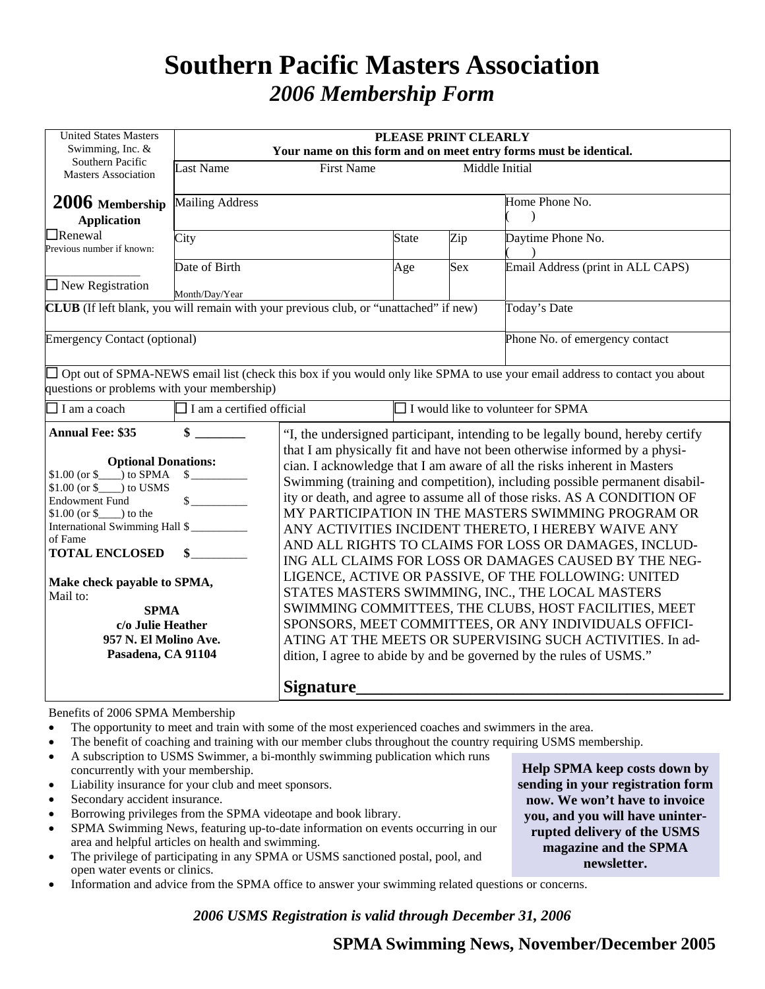## **Southern Pacific Masters Association**  *2006 Membership Form*

| <b>United States Masters</b><br>Swimming, Inc. &                                                                                                                                                                                                                                                                                             | PLEASE PRINT CLEARLY<br>Your name on this form and on meet entry forms must be identical. |                   |                                                                                |                                                                                                                                                                                                                                                                                                                                                                                                                                                                                                                                                                                                                                                                                                                                                                                                                                                                                                                 |                                                                                                                            |  |  |  |
|----------------------------------------------------------------------------------------------------------------------------------------------------------------------------------------------------------------------------------------------------------------------------------------------------------------------------------------------|-------------------------------------------------------------------------------------------|-------------------|--------------------------------------------------------------------------------|-----------------------------------------------------------------------------------------------------------------------------------------------------------------------------------------------------------------------------------------------------------------------------------------------------------------------------------------------------------------------------------------------------------------------------------------------------------------------------------------------------------------------------------------------------------------------------------------------------------------------------------------------------------------------------------------------------------------------------------------------------------------------------------------------------------------------------------------------------------------------------------------------------------------|----------------------------------------------------------------------------------------------------------------------------|--|--|--|
| Southern Pacific<br>Masters Association                                                                                                                                                                                                                                                                                                      | <b>Last Name</b>                                                                          | <b>First Name</b> |                                                                                |                                                                                                                                                                                                                                                                                                                                                                                                                                                                                                                                                                                                                                                                                                                                                                                                                                                                                                                 | Middle Initial                                                                                                             |  |  |  |
| 2006 Membership<br><b>Application</b>                                                                                                                                                                                                                                                                                                        | <b>Mailing Address</b>                                                                    |                   | Home Phone No.                                                                 |                                                                                                                                                                                                                                                                                                                                                                                                                                                                                                                                                                                                                                                                                                                                                                                                                                                                                                                 |                                                                                                                            |  |  |  |
| $\Box$ Renewal<br>Previous number if known:                                                                                                                                                                                                                                                                                                  | City                                                                                      | <b>State</b>      | Zip                                                                            | Daytime Phone No.                                                                                                                                                                                                                                                                                                                                                                                                                                                                                                                                                                                                                                                                                                                                                                                                                                                                                               |                                                                                                                            |  |  |  |
| $\square$ New Registration                                                                                                                                                                                                                                                                                                                   | Date of Birth<br>Month/Day/Year                                                           |                   | Age                                                                            | Sex                                                                                                                                                                                                                                                                                                                                                                                                                                                                                                                                                                                                                                                                                                                                                                                                                                                                                                             | Email Address (print in ALL CAPS)                                                                                          |  |  |  |
| <b>CLUB</b> (If left blank, you will remain with your previous club, or "unattached" if new)                                                                                                                                                                                                                                                 |                                                                                           |                   |                                                                                |                                                                                                                                                                                                                                                                                                                                                                                                                                                                                                                                                                                                                                                                                                                                                                                                                                                                                                                 | Today's Date                                                                                                               |  |  |  |
| <b>Emergency Contact (optional)</b>                                                                                                                                                                                                                                                                                                          |                                                                                           |                   |                                                                                |                                                                                                                                                                                                                                                                                                                                                                                                                                                                                                                                                                                                                                                                                                                                                                                                                                                                                                                 | Phone No. of emergency contact                                                                                             |  |  |  |
| questions or problems with your membership)                                                                                                                                                                                                                                                                                                  |                                                                                           |                   |                                                                                |                                                                                                                                                                                                                                                                                                                                                                                                                                                                                                                                                                                                                                                                                                                                                                                                                                                                                                                 | Opt out of SPMA-NEWS email list (check this box if you would only like SPMA to use your email address to contact you about |  |  |  |
| $\Box$ I am a coach                                                                                                                                                                                                                                                                                                                          | $\Box$ I am a certified official                                                          |                   | $\Box$ I would like to volunteer for SPMA                                      |                                                                                                                                                                                                                                                                                                                                                                                                                                                                                                                                                                                                                                                                                                                                                                                                                                                                                                                 |                                                                                                                            |  |  |  |
| <b>Annual Fee: \$35</b>                                                                                                                                                                                                                                                                                                                      | \$                                                                                        |                   | "I, the undersigned participant, intending to be legally bound, hereby certify |                                                                                                                                                                                                                                                                                                                                                                                                                                                                                                                                                                                                                                                                                                                                                                                                                                                                                                                 |                                                                                                                            |  |  |  |
| <b>Optional Donations:</b><br>$$1.00$ (or $$$ ) to SPMA<br>$$1.00$ (or \$ ) to USMS<br><b>Endowment Fund</b><br>$$1.00$ (or $$$ ) to the<br>International Swimming Hall \$<br>of Fame<br><b>TOTAL ENCLOSED</b><br>Make check payable to SPMA,<br>Mail to:<br><b>SPMA</b><br>c/o Julie Heather<br>957 N. El Molino Ave.<br>Pasadena, CA 91104 |                                                                                           |                   |                                                                                | that I am physically fit and have not been otherwise informed by a physi-<br>cian. I acknowledge that I am aware of all the risks inherent in Masters<br>Swimming (training and competition), including possible permanent disabil-<br>ity or death, and agree to assume all of those risks. AS A CONDITION OF<br>MY PARTICIPATION IN THE MASTERS SWIMMING PROGRAM OR<br>ANY ACTIVITIES INCIDENT THERETO, I HEREBY WAIVE ANY<br>AND ALL RIGHTS TO CLAIMS FOR LOSS OR DAMAGES, INCLUD-<br>ING ALL CLAIMS FOR LOSS OR DAMAGES CAUSED BY THE NEG-<br>LIGENCE, ACTIVE OR PASSIVE, OF THE FOLLOWING: UNITED<br>STATES MASTERS SWIMMING, INC., THE LOCAL MASTERS<br>SWIMMING COMMITTEES, THE CLUBS, HOST FACILITIES, MEET<br>SPONSORS, MEET COMMITTEES, OR ANY INDIVIDUALS OFFICI-<br>ATING AT THE MEETS OR SUPERVISING SUCH ACTIVITIES. In ad-<br>dition, I agree to abide by and be governed by the rules of USMS." |                                                                                                                            |  |  |  |
|                                                                                                                                                                                                                                                                                                                                              |                                                                                           | <b>Signature</b>  |                                                                                |                                                                                                                                                                                                                                                                                                                                                                                                                                                                                                                                                                                                                                                                                                                                                                                                                                                                                                                 |                                                                                                                            |  |  |  |

Benefits of 2006 SPMA Membership

- The opportunity to meet and train with some of the most experienced coaches and swimmers in the area.
- The benefit of coaching and training with our member clubs throughout the country requiring USMS membership.
- A subscription to USMS Swimmer, a bi-monthly swimming publication which runs concurrently with your membership.
- Liability insurance for your club and meet sponsors.
- Secondary accident insurance.
- Borrowing privileges from the SPMA videotape and book library.
- SPMA Swimming News, featuring up-to-date information on events occurring in our area and helpful articles on health and swimming.
- The privilege of participating in any SPMA or USMS sanctioned postal, pool, and open water events or clinics.
- Information and advice from the SPMA office to answer your swimming related questions or concerns.

*2006 USMS Registration is valid through December 31, 2006* 

**Help SPMA keep costs down by sending in your registration form now. We won't have to invoice you, and you will have uninterrupted delivery of the USMS magazine and the SPMA newsletter.**